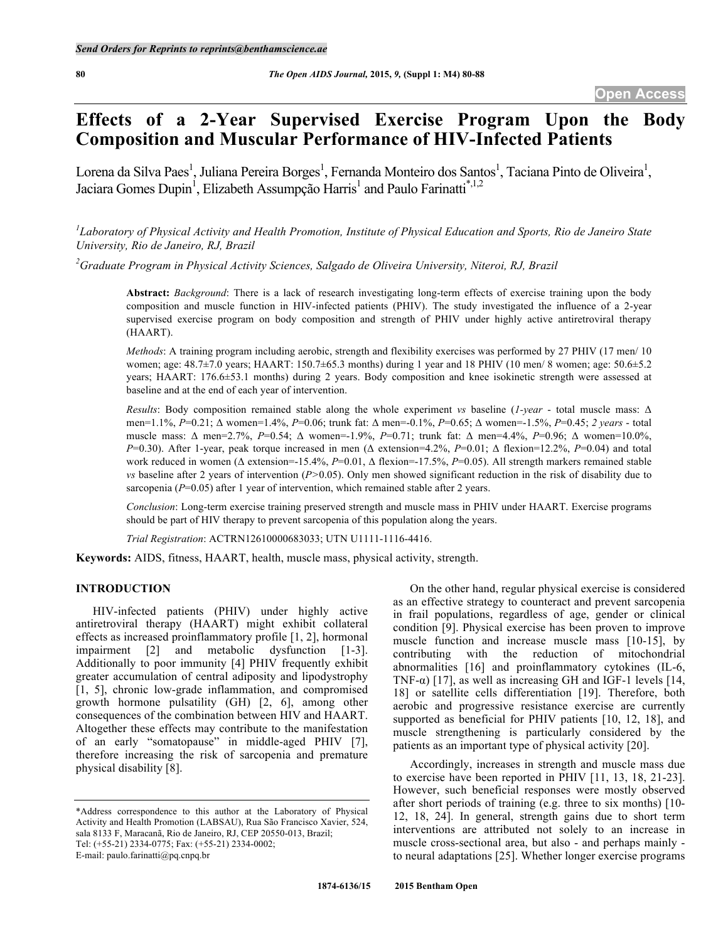# **Effects of a 2-Year Supervised Exercise Program Upon the Body Composition and Muscular Performance of HIV-Infected Patients**

Lorena da Silva Paes<sup>1</sup>, Juliana Pereira Borges<sup>1</sup>, Fernanda Monteiro dos Santos<sup>1</sup>, Taciana Pinto de Oliveira<sup>1</sup>, Jaciara Gomes Dupin<sup>1</sup>, Elizabeth Assumpção Harris<sup>1</sup> and Paulo Farinatti<sup>\*,1,2</sup>

 ${}^{l}$ Laboratory of Physical Activity and Health Promotion, Institute of Physical Education and Sports, Rio de Janeiro State *University, Rio de Janeiro, RJ, Brazil*

*2 Graduate Program in Physical Activity Sciences, Salgado de Oliveira University, Niteroi, RJ, Brazil*

**Abstract:** *Background*: There is a lack of research investigating long-term effects of exercise training upon the body composition and muscle function in HIV-infected patients (PHIV). The study investigated the influence of a 2-year supervised exercise program on body composition and strength of PHIV under highly active antiretroviral therapy (HAART).

*Methods*: A training program including aerobic, strength and flexibility exercises was performed by 27 PHIV (17 men/ 10 women; age: 48.7±7.0 years; HAART: 150.7±65.3 months) during 1 year and 18 PHIV (10 men/ 8 women; age: 50.6±5.2 years; HAART: 176.6±53.1 months) during 2 years. Body composition and knee isokinetic strength were assessed at baseline and at the end of each year of intervention.

*Results*: Body composition remained stable along the whole experiment *vs* baseline (*1-year* - total muscle mass: Δ men=1.1%, *P*=0.21; Δ women=1.4%, *P*=0.06; trunk fat: Δ men=-0.1%, *P*=0.65; Δ women=-1.5%, *P*=0.45; *2 years* - total muscle mass: Δ men=2.7%, *P*=0.54; Δ women=-1.9%, *P*=0.71; trunk fat: Δ men=4.4%, *P*=0.96; Δ women=10.0%, *P*=0.30). After 1-year, peak torque increased in men (Δ extension=4.2%, *P*=0.01; Δ flexion=12.2%, *P*=0.04) and total work reduced in women (Δ extension=-15.4%, *P*=0.01, Δ flexion=-17.5%, *P*=0.05). All strength markers remained stable *vs* baseline after 2 years of intervention (*P>*0.05). Only men showed significant reduction in the risk of disability due to sarcopenia ( $P=0.05$ ) after 1 year of intervention, which remained stable after 2 years.

*Conclusion*: Long-term exercise training preserved strength and muscle mass in PHIV under HAART. Exercise programs should be part of HIV therapy to prevent sarcopenia of this population along the years.

*Trial Registration*: ACTRN12610000683033; UTN U1111-1116-4416.

**Keywords:** AIDS, fitness, HAART, health, muscle mass, physical activity, strength.

## **INTRODUCTION**

HIV-infected patients (PHIV) under highly active antiretroviral therapy (HAART) might exhibit collateral effects as increased proinflammatory profile [1, 2], hormonal impairment [2] and metabolic dysfunction [1-3]. Additionally to poor immunity [4] PHIV frequently exhibit greater accumulation of central adiposity and lipodystrophy [1, 5], chronic low-grade inflammation, and compromised growth hormone pulsatility (GH) [2, 6], among other consequences of the combination between HIV and HAART. Altogether these effects may contribute to the manifestation of an early "somatopause" in middle-aged PHIV [7], therefore increasing the risk of sarcopenia and premature physical disability [8].

E-mail: paulo.farinatti@pq.cnpq.br

On the other hand, regular physical exercise is considered as an effective strategy to counteract and prevent sarcopenia in frail populations, regardless of age, gender or clinical condition [9]. Physical exercise has been proven to improve muscle function and increase muscle mass [10-15], by contributing with the reduction of mitochondrial abnormalities [16] and proinflammatory cytokines (IL-6, TNF- $\alpha$ ) [17], as well as increasing GH and IGF-1 levels [14, 18] or satellite cells differentiation [19]. Therefore, both aerobic and progressive resistance exercise are currently supported as beneficial for PHIV patients [10, 12, 18], and muscle strengthening is particularly considered by the patients as an important type of physical activity [20].

Accordingly, increases in strength and muscle mass due to exercise have been reported in PHIV [11, 13, 18, 21-23]. However, such beneficial responses were mostly observed after short periods of training (e.g. three to six months) [10- 12, 18, 24]. In general, strength gains due to short term interventions are attributed not solely to an increase in muscle cross-sectional area, but also - and perhaps mainly to neural adaptations [25]. Whether longer exercise programs

<sup>\*</sup>Address correspondence to this author at the Laboratory of Physical Activity and Health Promotion (LABSAU), Rua São Francisco Xavier, 524, sala 8133 F, Maracanã, Rio de Janeiro, RJ, CEP 20550-013, Brazil; Tel: (+55-21) 2334-0775; Fax: (+55-21) 2334-0002;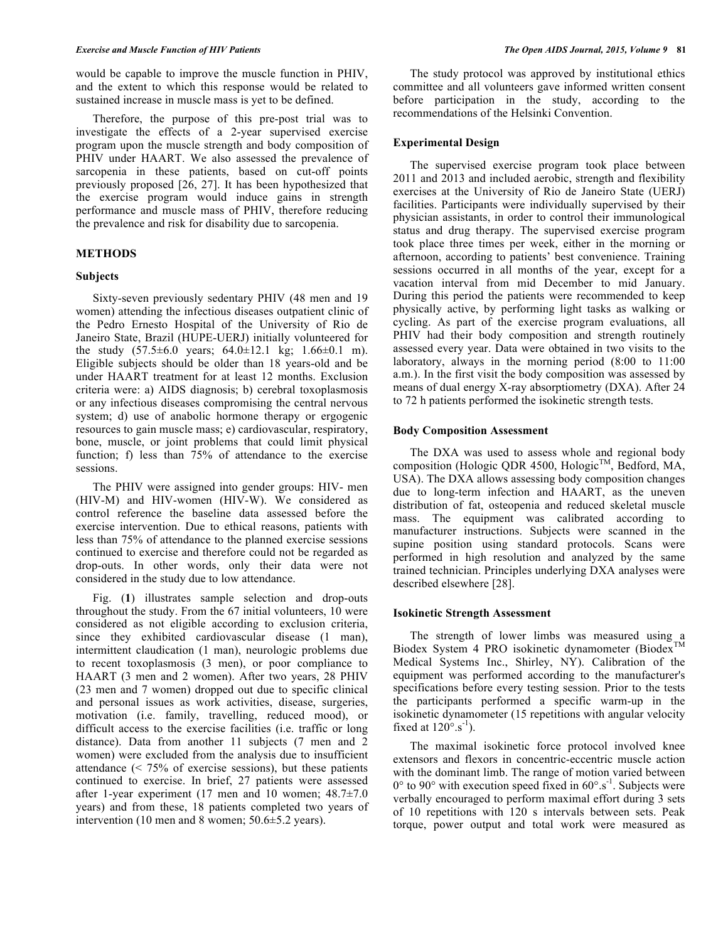would be capable to improve the muscle function in PHIV, and the extent to which this response would be related to sustained increase in muscle mass is yet to be defined.

Therefore, the purpose of this pre-post trial was to investigate the effects of a 2-year supervised exercise program upon the muscle strength and body composition of PHIV under HAART. We also assessed the prevalence of sarcopenia in these patients, based on cut-off points previously proposed [26, 27]. It has been hypothesized that the exercise program would induce gains in strength performance and muscle mass of PHIV, therefore reducing the prevalence and risk for disability due to sarcopenia.

## **METHODS**

## **Subjects**

Sixty-seven previously sedentary PHIV (48 men and 19 women) attending the infectious diseases outpatient clinic of the Pedro Ernesto Hospital of the University of Rio de Janeiro State, Brazil (HUPE-UERJ) initially volunteered for the study  $(57.5\pm6.0 \text{ years}; 64.0\pm12.1 \text{ kg}; 1.66\pm0.1 \text{ m}).$ Eligible subjects should be older than 18 years-old and be under HAART treatment for at least 12 months. Exclusion criteria were: a) AIDS diagnosis; b) cerebral toxoplasmosis or any infectious diseases compromising the central nervous system; d) use of anabolic hormone therapy or ergogenic resources to gain muscle mass; e) cardiovascular, respiratory, bone, muscle, or joint problems that could limit physical function; f) less than 75% of attendance to the exercise sessions.

The PHIV were assigned into gender groups: HIV- men (HIV-M) and HIV-women (HIV-W). We considered as control reference the baseline data assessed before the exercise intervention. Due to ethical reasons, patients with less than 75% of attendance to the planned exercise sessions continued to exercise and therefore could not be regarded as drop-outs. In other words, only their data were not considered in the study due to low attendance.

Fig. (**1**) illustrates sample selection and drop-outs throughout the study. From the 67 initial volunteers, 10 were considered as not eligible according to exclusion criteria, since they exhibited cardiovascular disease (1 man), intermittent claudication (1 man), neurologic problems due to recent toxoplasmosis (3 men), or poor compliance to HAART (3 men and 2 women). After two years, 28 PHIV (23 men and 7 women) dropped out due to specific clinical and personal issues as work activities, disease, surgeries, motivation (i.e. family, travelling, reduced mood), or difficult access to the exercise facilities (i.e. traffic or long distance). Data from another 11 subjects (7 men and 2 women) were excluded from the analysis due to insufficient attendance (< 75% of exercise sessions), but these patients continued to exercise. In brief, 27 patients were assessed after 1-year experiment (17 men and 10 women;  $48.7\pm7.0$ years) and from these, 18 patients completed two years of intervention (10 men and 8 women; 50.6±5.2 years).

The study protocol was approved by institutional ethics committee and all volunteers gave informed written consent before participation in the study, according to the recommendations of the Helsinki Convention.

## **Experimental Design**

The supervised exercise program took place between 2011 and 2013 and included aerobic, strength and flexibility exercises at the University of Rio de Janeiro State (UERJ) facilities. Participants were individually supervised by their physician assistants, in order to control their immunological status and drug therapy. The supervised exercise program took place three times per week, either in the morning or afternoon, according to patients' best convenience. Training sessions occurred in all months of the year, except for a vacation interval from mid December to mid January. During this period the patients were recommended to keep physically active, by performing light tasks as walking or cycling. As part of the exercise program evaluations, all PHIV had their body composition and strength routinely assessed every year. Data were obtained in two visits to the laboratory, always in the morning period (8:00 to 11:00 a.m.). In the first visit the body composition was assessed by means of dual energy X-ray absorptiometry (DXA). After 24 to 72 h patients performed the isokinetic strength tests.

## **Body Composition Assessment**

The DXA was used to assess whole and regional body composition (Hologic QDR 4500, Hologic<sup>TM</sup>, Bedford, MA, USA). The DXA allows assessing body composition changes due to long-term infection and HAART, as the uneven distribution of fat, osteopenia and reduced skeletal muscle mass. The equipment was calibrated according to manufacturer instructions. Subjects were scanned in the supine position using standard protocols. Scans were performed in high resolution and analyzed by the same trained technician. Principles underlying DXA analyses were described elsewhere [28].

## **Isokinetic Strength Assessment**

The strength of lower limbs was measured using a Biodex System 4 PRO isokinetic dynamometer (Biodex<sup>TM</sup> Medical Systems Inc., Shirley, NY). Calibration of the equipment was performed according to the manufacturer's specifications before every testing session. Prior to the tests the participants performed a specific warm-up in the isokinetic dynamometer (15 repetitions with angular velocity fixed at  $120^{\circ}.s^{-1}$ ).

The maximal isokinetic force protocol involved knee extensors and flexors in concentric-eccentric muscle action with the dominant limb. The range of motion varied between  $0^{\circ}$  to  $90^{\circ}$  with execution speed fixed in  $60^{\circ}$ .s<sup>-1</sup>. Subjects were verbally encouraged to perform maximal effort during 3 sets of 10 repetitions with 120 s intervals between sets. Peak torque, power output and total work were measured as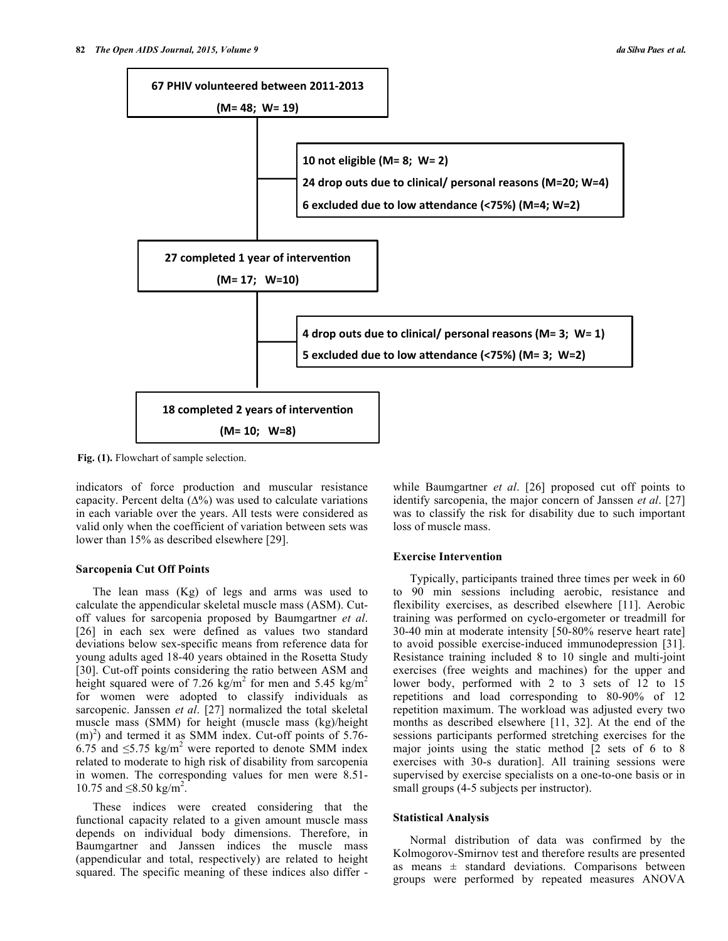

**Fig. (1).** Flowchart of sample selection.

indicators of force production and muscular resistance capacity. Percent delta  $(\Delta\%)$  was used to calculate variations in each variable over the years. All tests were considered as valid only when the coefficient of variation between sets was lower than 15% as described elsewhere [29].

## **Sarcopenia Cut Off Points**

The lean mass (Kg) of legs and arms was used to calculate the appendicular skeletal muscle mass (ASM). Cutoff values for sarcopenia proposed by Baumgartner *et al*. [26] in each sex were defined as values two standard deviations below sex-specific means from reference data for young adults aged 18-40 years obtained in the Rosetta Study [30]. Cut-off points considering the ratio between ASM and height squared were of 7.26 kg/m<sup>2</sup> for men and 5.45 kg/m<sup>2</sup> for women were adopted to classify individuals as sarcopenic. Janssen *et al*. [27] normalized the total skeletal muscle mass (SMM) for height (muscle mass (kg)/height  $(m)^2$ ) and termed it as SMM index. Cut-off points of 5.76-6.75 and  $\leq$ 5.75 kg/m<sup>2</sup> were reported to denote SMM index related to moderate to high risk of disability from sarcopenia in women. The corresponding values for men were 8.51- 10.75 and  $\leq 8.50$  kg/m<sup>2</sup>.

These indices were created considering that the functional capacity related to a given amount muscle mass depends on individual body dimensions. Therefore, in Baumgartner and Janssen indices the muscle mass (appendicular and total, respectively) are related to height squared. The specific meaning of these indices also differ -

while Baumgartner *et al*. [26] proposed cut off points to identify sarcopenia, the major concern of Janssen *et al*. [27] was to classify the risk for disability due to such important loss of muscle mass.

## **Exercise Intervention**

Typically, participants trained three times per week in 60 to 90 min sessions including aerobic, resistance and flexibility exercises, as described elsewhere [11]. Aerobic training was performed on cyclo-ergometer or treadmill for 30-40 min at moderate intensity [50-80% reserve heart rate] to avoid possible exercise-induced immunodepression [31]. Resistance training included 8 to 10 single and multi-joint exercises (free weights and machines) for the upper and lower body, performed with 2 to 3 sets of 12 to 15 repetitions and load corresponding to 80-90% of 12 repetition maximum. The workload was adjusted every two months as described elsewhere [11, 32]. At the end of the sessions participants performed stretching exercises for the major joints using the static method [2 sets of 6 to 8 exercises with 30-s duration]. All training sessions were supervised by exercise specialists on a one-to-one basis or in small groups (4-5 subjects per instructor).

#### **Statistical Analysis**

Normal distribution of data was confirmed by the Kolmogorov-Smirnov test and therefore results are presented as means  $\pm$  standard deviations. Comparisons between groups were performed by repeated measures ANOVA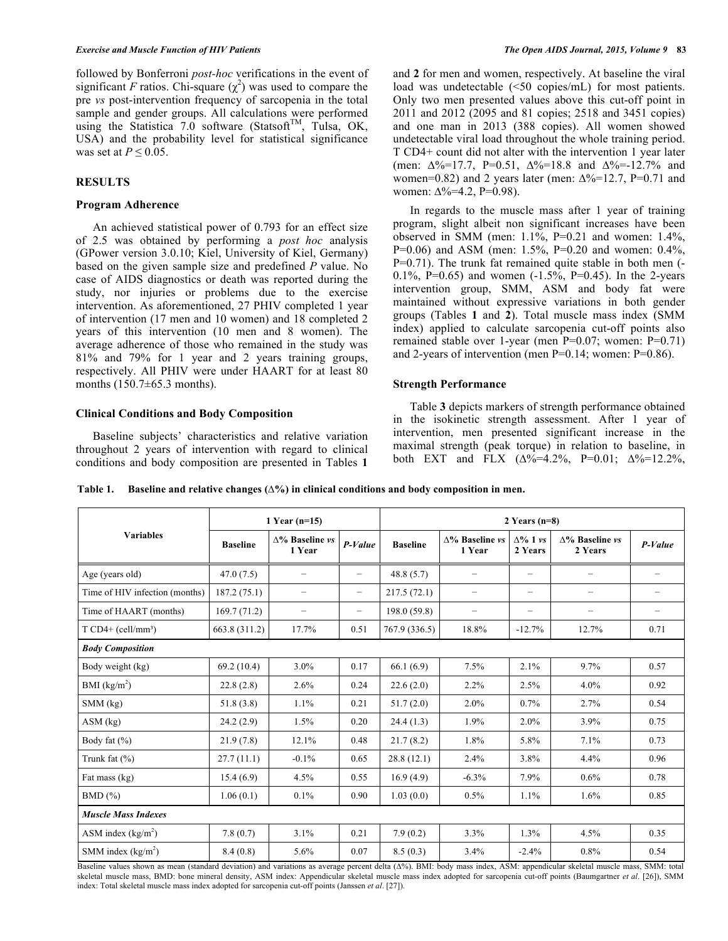followed by Bonferroni *post-hoc* verifications in the event of significant *F* ratios. Chi-square  $(\chi^2)$  was used to compare the pre *vs* post-intervention frequency of sarcopenia in the total sample and gender groups. All calculations were performed using the Statistica 7.0 software (Statsoft<sup>TM</sup>, Tulsa, OK, USA) and the probability level for statistical significance was set at  $P \leq 0.05$ .

# **RESULTS**

#### **Program Adherence**

An achieved statistical power of 0.793 for an effect size of 2.5 was obtained by performing a *post hoc* analysis (GPower version 3.0.10; Kiel, University of Kiel, Germany) based on the given sample size and predefined *P* value. No case of AIDS diagnostics or death was reported during the study, nor injuries or problems due to the exercise intervention. As aforementioned, 27 PHIV completed 1 year of intervention (17 men and 10 women) and 18 completed 2 years of this intervention (10 men and 8 women). The average adherence of those who remained in the study was 81% and 79% for 1 year and 2 years training groups, respectively. All PHIV were under HAART for at least 80 months (150.7±65.3 months).

## **Clinical Conditions and Body Composition**

Baseline subjects' characteristics and relative variation throughout 2 years of intervention with regard to clinical conditions and body composition are presented in Tables **1** and **2** for men and women, respectively. At baseline the viral load was undetectable (<50 copies/mL) for most patients. Only two men presented values above this cut-off point in 2011 and 2012 (2095 and 81 copies; 2518 and 3451 copies) and one man in 2013 (388 copies). All women showed undetectable viral load throughout the whole training period. T CD4+ count did not alter with the intervention 1 year later (men:  $\Delta\% = 17.7$ , P=0.51,  $\Delta\% = 18.8$  and  $\Delta\% = 12.7\%$  and women=0.82) and 2 years later (men:  $\Delta\%$ =12.7, P=0.71 and women:  $\Delta\% = 4.2$ , P=0.98).

In regards to the muscle mass after 1 year of training program, slight albeit non significant increases have been observed in SMM (men:  $1.1\%$ , P=0.21 and women:  $1.4\%$ , P=0.06) and ASM (men: 1.5%, P=0.20 and women: 0.4%, P=0.71). The trunk fat remained quite stable in both men (- 0.1%, P=0.65) and women  $(-1.5\% , P=0.45)$ . In the 2-years intervention group, SMM, ASM and body fat were maintained without expressive variations in both gender groups (Tables **1** and **2**). Total muscle mass index (SMM index) applied to calculate sarcopenia cut-off points also remained stable over 1-year (men P=0.07; women: P=0.71) and 2-years of intervention (men P=0.14; women: P=0.86).

## **Strength Performance**

Table **3** depicts markers of strength performance obtained in the isokinetic strength assessment. After 1 year of intervention, men presented significant increase in the maximal strength (peak torque) in relation to baseline, in both EXT and FLX  $(\Delta\% = 4.2\% , P = 0.01; \Delta\% = 12.2\% ,$ 

**Table 1. Baseline and relative changes (∆%) in clinical conditions and body composition in men.**

|                                | 1 Year $(n=15)$ |                                  |                          | 2 Years $(n=8)$ |                                  |                            |                                   |         |  |
|--------------------------------|-----------------|----------------------------------|--------------------------|-----------------|----------------------------------|----------------------------|-----------------------------------|---------|--|
| <b>Variables</b>               | <b>Baseline</b> | $\Delta\%$ Baseline vs<br>1 Year | $P-Value$                | <b>Baseline</b> | $\Delta\%$ Baseline vs<br>1 Year | $\Delta\%$ 1 vs<br>2 Years | $\Delta$ % Baseline vs<br>2 Years | P-Value |  |
| Age (years old)                | 47.0(7.5)       | $\overline{\phantom{0}}$         | $\overline{\phantom{0}}$ | 48.8(5.7)       | $\overline{\phantom{0}}$         | $\overline{\phantom{0}}$   |                                   |         |  |
| Time of HIV infection (months) | 187.2(75.1)     | -                                | $\overline{\phantom{m}}$ | 217.5(72.1)     | $\overline{\phantom{0}}$         | $\qquad \qquad -$          | $\overline{\phantom{m}}$          | -       |  |
| Time of HAART (months)         | 169.7(71.2)     | $\overline{\phantom{0}}$         | $\overline{\phantom{m}}$ | 198.0 (59.8)    | $\overline{\phantom{0}}$         | $\qquad \qquad -$          | $\qquad \qquad -$                 | -       |  |
| $T \text{ CD4+ (cell/mm^3)}$   | 663.8 (311.2)   | 17.7%                            | 0.51                     | 767.9 (336.5)   | 18.8%                            | $-12.7%$                   | 12.7%                             | 0.71    |  |
| <b>Body Composition</b>        |                 |                                  |                          |                 |                                  |                            |                                   |         |  |
| Body weight (kg)               | 69.2(10.4)      | $3.0\%$                          | 0.17                     | 66.1(6.9)       | 7.5%                             | 2.1%                       | 9.7%                              | 0.57    |  |
| BMI (kg/m <sup>2</sup> )       | 22.8(2.8)       | 2.6%                             | 0.24                     | 22.6(2.0)       | 2.2%                             | 2.5%                       | 4.0%                              | 0.92    |  |
| $SMM$ (kg)                     | 51.8(3.8)       | 1.1%                             | 0.21                     | 51.7(2.0)       | 2.0%                             | 0.7%                       | 2.7%                              | 0.54    |  |
| $ASM$ (kg)                     | 24.2(2.9)       | 1.5%                             | 0.20                     | 24.4(1.3)       | 1.9%                             | 2.0%                       | 3.9%                              | 0.75    |  |
| Body fat $(\% )$               | 21.9(7.8)       | 12.1%                            | 0.48                     | 21.7(8.2)       | 1.8%                             | 5.8%                       | 7.1%                              | 0.73    |  |
| Trunk fat $(\% )$              | 27.7(11.1)      | $-0.1\%$                         | 0.65                     | 28.8(12.1)      | 2.4%                             | 3.8%                       | 4.4%                              | 0.96    |  |
| Fat mass (kg)                  | 15.4(6.9)       | 4.5%                             | 0.55                     | 16.9(4.9)       | $-6.3%$                          | 7.9%                       | 0.6%                              | 0.78    |  |
| BMD(%)                         | 1.06(0.1)       | 0.1%                             | 0.90                     | 1.03(0.0)       | 0.5%                             | 1.1%                       | 1.6%                              | 0.85    |  |
| <b>Muscle Mass Indexes</b>     |                 |                                  |                          |                 |                                  |                            |                                   |         |  |
| ASM index $(kg/m2)$            | 7.8(0.7)        | 3.1%                             | 0.21                     | 7.9(0.2)        | 3.3%                             | 1.3%                       | 4.5%                              | 0.35    |  |
| SMM index $(kg/m2)$            | 8.4(0.8)        | 5.6%                             | 0.07                     | 8.5(0.3)        | 3.4%                             | $-2.4%$                    | $0.8\%$                           | 0.54    |  |

Baseline values shown as mean (standard deviation) and variations as average percent delta ( $\Delta\%$ ). BMI: body mass index, ASM: appendicular skeletal muscle mass, SMM: total skeletal muscle mass, BMD: bone mineral density, ASM index: Appendicular skeletal muscle mass index adopted for sarcopenia cut-off points (Baumgartner *et al*. [26]), SMM index: Total skeletal muscle mass index adopted for sarcopenia cut-off points (Janssen *et al*. [27]).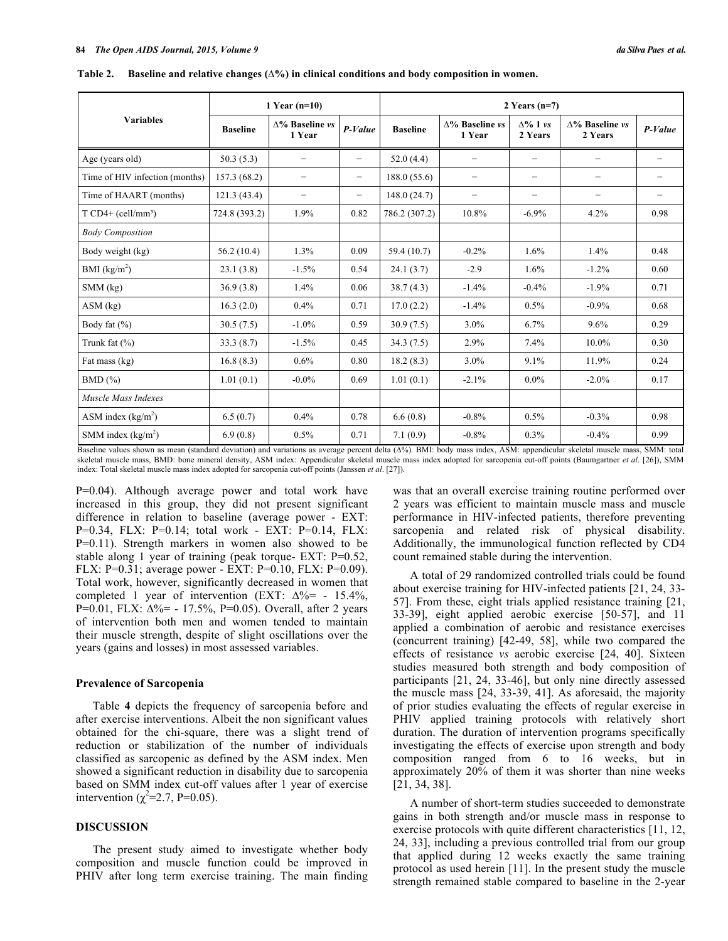|                                | 1 Year $(n=10)$ |                                  |                          | 2 Years $(n=7)$ |                                  |                            |                                   |                   |  |
|--------------------------------|-----------------|----------------------------------|--------------------------|-----------------|----------------------------------|----------------------------|-----------------------------------|-------------------|--|
| <b>Variables</b>               | <b>Baseline</b> | $\Delta$ % Baseline vs<br>1 Year | $P-Value$                | <b>Baseline</b> | $\Delta\%$ Baseline vs<br>1 Year | $\Delta\%$ 1 vs<br>2 Years | $\Delta\%$ Baseline vs<br>2 Years | $P-Value$         |  |
| Age (years old)                | 50.3(5.3)       | -                                | $\overline{\phantom{m}}$ | 52.0(4.4)       | $\qquad \qquad -$                | -                          | $\qquad \qquad -$                 |                   |  |
| Time of HIV infection (months) | 157.3 (68.2)    | $\qquad \qquad -$                | $\qquad \qquad -$        | 188.0 (55.6)    | $\qquad \qquad -$                | -                          | $\qquad \qquad -$                 | -                 |  |
| Time of HAART (months)         | 121.3(43.4)     | $\qquad \qquad -$                | $\overline{\phantom{m}}$ | 148.0(24.7)     | $\qquad \qquad -$                | $\qquad \qquad -$          | $\qquad \qquad -$                 | $\qquad \qquad -$ |  |
| $T \text{ CD4+} (cell/mm^3)$   | 724.8 (393.2)   | 1.9%                             | 0.82                     | 786.2 (307.2)   | 10.8%                            | $-6.9%$                    | 4.2%                              | 0.98              |  |
| <b>Body Composition</b>        |                 |                                  |                          |                 |                                  |                            |                                   |                   |  |
| Body weight (kg)               | 56.2(10.4)      | 1.3%                             | 0.09                     | 59.4 (10.7)     | $-0.2%$                          | 1.6%                       | 1.4%                              | 0.48              |  |
| BMI (kg/m <sup>2</sup> )       | 23.1(3.8)       | $-1.5%$                          | 0.54                     | 24.1(3.7)       | $-2.9$                           | 1.6%                       | $-1.2%$                           | 0.60              |  |
| $SMM$ (kg)                     | 36.9(3.8)       | 1.4%                             | 0.06                     | 38.7(4.3)       | $-1.4%$                          | $-0.4%$                    | $-1.9%$                           | 0.71              |  |
| $ASM$ (kg)                     | 16.3(2.0)       | $0.4\%$                          | 0.71                     | 17.0(2.2)       | $-1.4%$                          | 0.5%                       | $-0.9%$                           | 0.68              |  |
| Body fat $(\% )$               | 30.5(7.5)       | $-1.0\%$                         | 0.59                     | 30.9(7.5)       | $3.0\%$                          | 6.7%                       | 9.6%                              | 0.29              |  |
| Trunk fat $(\% )$              | 33.3(8.7)       | $-1.5%$                          | 0.45                     | 34.3(7.5)       | 2.9%                             | 7.4%                       | 10.0%                             | 0.30              |  |
| Fat mass (kg)                  | 16.8(8.3)       | 0.6%                             | 0.80                     | 18.2(8.3)       | 3.0%                             | 9.1%                       | 11.9%                             | 0.24              |  |
| $BMD$ $(\%)$                   | 1.01(0.1)       | $-0.0\%$                         | 0.69                     | 1.01(0.1)       | $-2.1%$                          | $0.0\%$                    | $-2.0%$                           | 0.17              |  |
| Muscle Mass Indexes            |                 |                                  |                          |                 |                                  |                            |                                   |                   |  |
| ASM index $(kg/m2)$            | 6.5(0.7)        | 0.4%                             | 0.78                     | 6.6(0.8)        | $-0.8%$                          | 0.5%                       | $-0.3%$                           | 0.98              |  |
| SMM index $(kg/m2)$            | 6.9(0.8)        | 0.5%                             | 0.71                     | 7.1(0.9)        | $-0.8%$                          | 0.3%                       | $-0.4%$                           | 0.99              |  |

**Table 2. Baseline and relative changes (∆%) in clinical conditions and body composition in women.**

Baseline values shown as mean (standard deviation) and variations as average percent delta ( $\Delta\%$ ). BMI: body mass index, ASM: appendicular skeletal muscle mass, SMM: total skeletal muscle mass, BMD: bone mineral density, ASM index: Appendicular skeletal muscle mass index adopted for sarcopenia cut-off points (Baumgartner *et al*. [26]), SMM index: Total skeletal muscle mass index adopted for sarcopenia cut-off points (Janssen *et al*. [27]).

P=0.04). Although average power and total work have increased in this group, they did not present significant difference in relation to baseline (average power - EXT: P=0.34, FLX: P=0.14; total work - EXT: P=0.14, FLX: P=0.11). Strength markers in women also showed to be stable along 1 year of training (peak torque- EXT: P=0.52, FLX: P=0.31; average power - EXT: P=0.10, FLX: P=0.09). Total work, however, significantly decreased in women that completed 1 year of intervention (EXT:  $\Delta\% = -15.4\%$ , P=0.01, FLX:  $\Delta\%$  = - 17.5%, P=0.05). Overall, after 2 years of intervention both men and women tended to maintain their muscle strength, despite of slight oscillations over the years (gains and losses) in most assessed variables.

#### **Prevalence of Sarcopenia**

Table **4** depicts the frequency of sarcopenia before and after exercise interventions. Albeit the non significant values obtained for the chi-square, there was a slight trend of reduction or stabilization of the number of individuals classified as sarcopenic as defined by the ASM index. Men showed a significant reduction in disability due to sarcopenia based on SMM index cut-off values after 1 year of exercise intervention ( $\chi^2$ =2.7, P=0.05).

## **DISCUSSION**

The present study aimed to investigate whether body composition and muscle function could be improved in PHIV after long term exercise training. The main finding was that an overall exercise training routine performed over 2 years was efficient to maintain muscle mass and muscle performance in HIV-infected patients, therefore preventing sarcopenia and related risk of physical disability. Additionally, the immunological function reflected by CD4 count remained stable during the intervention.

A total of 29 randomized controlled trials could be found about exercise training for HIV-infected patients [21, 24, 33- 57]. From these, eight trials applied resistance training [21, 33-39], eight applied aerobic exercise [50-57], and 11 applied a combination of aerobic and resistance exercises (concurrent training) [42-49, 58], while two compared the effects of resistance *vs* aerobic exercise [24, 40]. Sixteen studies measured both strength and body composition of participants [21, 24, 33-46], but only nine directly assessed the muscle mass [24, 33-39, 41]. As aforesaid, the majority of prior studies evaluating the effects of regular exercise in PHIV applied training protocols with relatively short duration. The duration of intervention programs specifically investigating the effects of exercise upon strength and body composition ranged from 6 to 16 weeks, but in approximately 20% of them it was shorter than nine weeks [21, 34, 38].

A number of short-term studies succeeded to demonstrate gains in both strength and/or muscle mass in response to exercise protocols with quite different characteristics [11, 12, 24, 33], including a previous controlled trial from our group that applied during 12 weeks exactly the same training protocol as used herein [11]. In the present study the muscle strength remained stable compared to baseline in the 2-year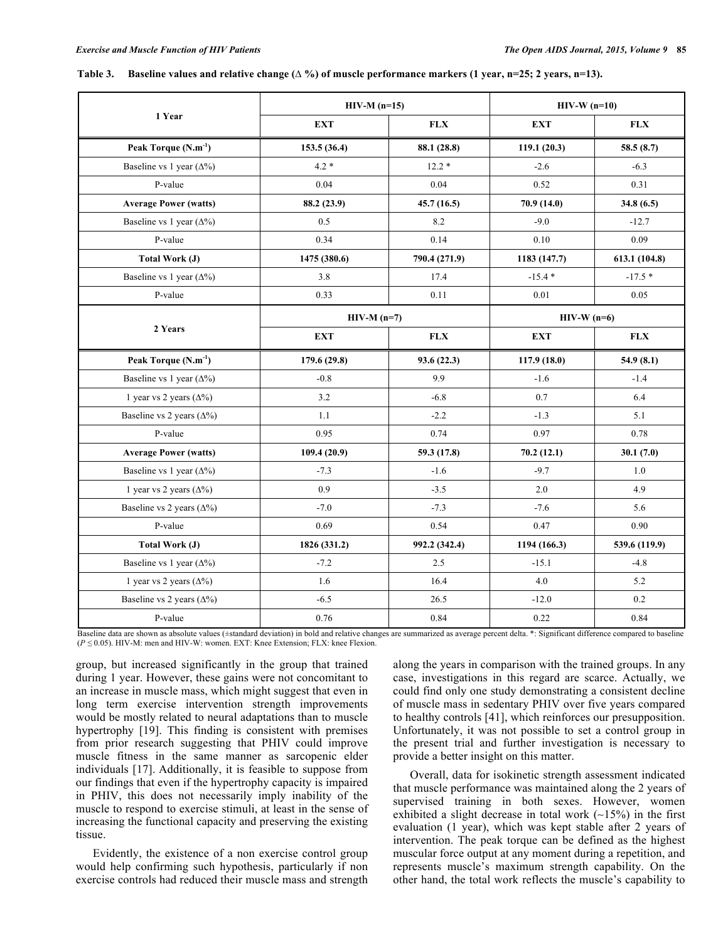#### Table 3. Baseline values and relative change  $(\Delta \%)$  of muscle performance markers (1 year, n=25; 2 years, n=13).

|                                  | $HIV-M (n=15)$ |               | $HIV-W (n=10)$ |               |  |  |
|----------------------------------|----------------|---------------|----------------|---------------|--|--|
| 1 Year                           | <b>EXT</b>     | <b>FLX</b>    | <b>EXT</b>     | <b>FLX</b>    |  |  |
| Peak Torque $(N.m^{-1})$         | 153.5(36.4)    | 88.1 (28.8)   | 119.1(20.3)    | 58.5(8.7)     |  |  |
| Baseline vs 1 year $(\Delta\%)$  | $4.2 *$        | $12.2*$       | $-2.6$         | $-6.3$        |  |  |
| P-value                          | $0.04\,$       | 0.04          | 0.52           | 0.31          |  |  |
| <b>Average Power (watts)</b>     | 88.2 (23.9)    | 45.7(16.5)    | 70.9 (14.0)    | 34.8(6.5)     |  |  |
| Baseline vs 1 year $(\Delta\%)$  | 0.5            | 8.2           | $-9.0$         | $-12.7$       |  |  |
| P-value                          | 0.34           | 0.14          | 0.10           | 0.09          |  |  |
| Total Work (J)                   | 1475 (380.6)   | 790.4 (271.9) | 1183 (147.7)   | 613.1 (104.8) |  |  |
| Baseline vs 1 year $(\Delta\%)$  | 3.8            | 17.4          | $-15.4*$       | $-17.5*$      |  |  |
| P-value                          | 0.33           | 0.11          | 0.01           | 0.05          |  |  |
|                                  | $HIV-M (n=7)$  |               | $HIV-W (n=6)$  |               |  |  |
| 2 Years                          | <b>EXT</b>     | FLX           | <b>EXT</b>     | <b>FLX</b>    |  |  |
| Peak Torque (N.m <sup>-1</sup> ) | 179.6 (29.8)   | 93.6 (22.3)   | 117.9(18.0)    | 54.9(8.1)     |  |  |
| Baseline vs 1 year $(\Delta\%)$  | $-0.8$         | 9.9           | $-1.6$         | $-1.4$        |  |  |
| 1 year vs 2 years $(\Delta\%)$   | 3.2            | $-6.8$        | 0.7            | 6.4           |  |  |
| Baseline vs 2 years $(\Delta\%)$ | 1.1            | $-2.2$        | $-1.3$         | 5.1           |  |  |
| P-value                          | 0.95           | 0.74          | 0.97           | 0.78          |  |  |
| <b>Average Power (watts)</b>     | 109.4 (20.9)   | 59.3 (17.8)   | 70.2(12.1)     | 30.1(7.0)     |  |  |
| Baseline vs 1 year $(\Delta\%)$  | $-7.3$         | $-1.6$        | $-9.7$         | 1.0           |  |  |
| 1 year vs 2 years $(\Delta\%)$   | 0.9            | $-3.5$        | 2.0            | 4.9           |  |  |
| Baseline vs 2 years $(\Delta\%)$ | $-7.0$         | $-7.3$        | $-7.6$         | 5.6           |  |  |
| P-value                          | 0.69           | 0.54          | 0.47           | 0.90          |  |  |
| <b>Total Work (J)</b>            | 1826 (331.2)   | 992.2 (342.4) | 1194 (166.3)   | 539.6 (119.9) |  |  |
| Baseline vs 1 year $(\Delta\%)$  | $-7.2$         | 2.5           | $-15.1$        | -4.8          |  |  |
| 1 year vs 2 years $(\Delta\%)$   | 1.6            | 16.4          | 4.0            | 5.2           |  |  |
| Baseline vs 2 years $(\Delta\%)$ | $-6.5$         | 26.5          | $-12.0$        | 0.2           |  |  |
| P-value                          | 0.76           | 0.84          | 0.22           | 0.84          |  |  |

aseline data are shown as absolute values (±standard deviation) in bold and relative changes are summarized as average percent delta. \*: Significant difference compared to baseline (*P ≤* 0.05). HIV-M: men and HIV-W: women. EXT: Knee Extension; FLX: knee Flexion.

group, but increased significantly in the group that trained during 1 year. However, these gains were not concomitant to an increase in muscle mass, which might suggest that even in long term exercise intervention strength improvements would be mostly related to neural adaptations than to muscle hypertrophy [19]. This finding is consistent with premises from prior research suggesting that PHIV could improve muscle fitness in the same manner as sarcopenic elder individuals [17]. Additionally, it is feasible to suppose from our findings that even if the hypertrophy capacity is impaired in PHIV, this does not necessarily imply inability of the muscle to respond to exercise stimuli, at least in the sense of increasing the functional capacity and preserving the existing tissue.

Evidently, the existence of a non exercise control group would help confirming such hypothesis, particularly if non exercise controls had reduced their muscle mass and strength along the years in comparison with the trained groups. In any case, investigations in this regard are scarce. Actually, we could find only one study demonstrating a consistent decline of muscle mass in sedentary PHIV over five years compared to healthy controls [41], which reinforces our presupposition. Unfortunately, it was not possible to set a control group in the present trial and further investigation is necessary to provide a better insight on this matter.

Overall, data for isokinetic strength assessment indicated that muscle performance was maintained along the 2 years of supervised training in both sexes. However, women exhibited a slight decrease in total work (∼15%) in the first evaluation (1 year), which was kept stable after 2 years of intervention. The peak torque can be defined as the highest muscular force output at any moment during a repetition, and represents muscle's maximum strength capability. On the other hand, the total work reflects the muscle's capability to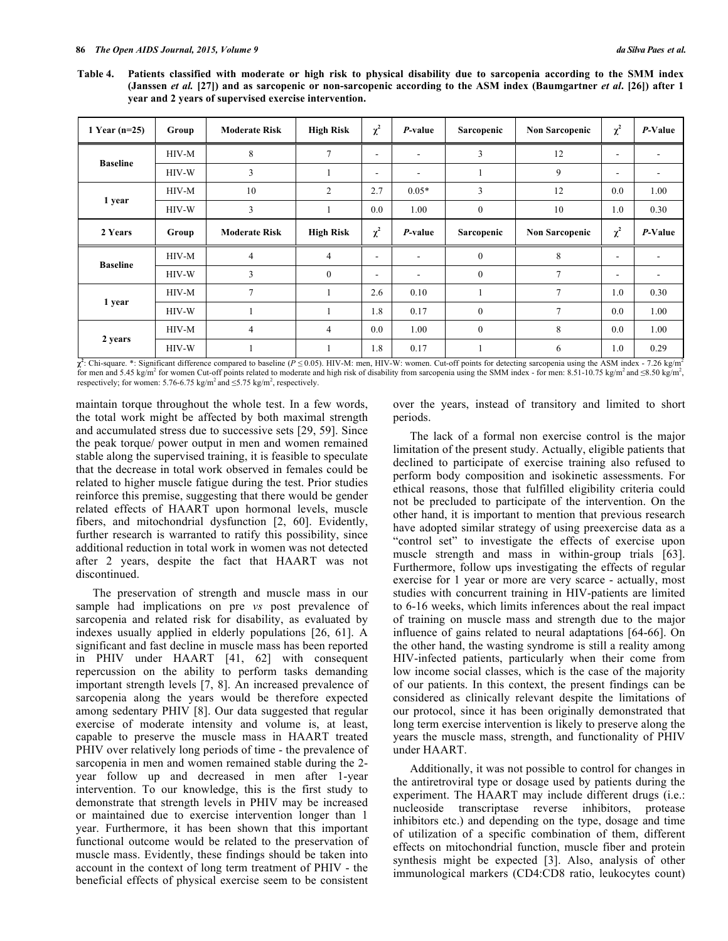Table 4. Patients classified with moderate or high risk to physical disability due to sarcopenia according to the SMM index (Janssen et al. [27]) and as sarcopenic or non-sarcopenic according to the ASM index (Baumgartner et al. [26]) after 1 **year and 2 years of supervised exercise intervention.**

| 1 Year $(n=25)$ | Group | <b>Moderate Risk</b> | <b>High Risk</b> | $\chi^2$                 | P-value                  | Sarcopenic   | <b>Non Sarcopenic</b> | $\chi^2$                 | P-Value                  |
|-----------------|-------|----------------------|------------------|--------------------------|--------------------------|--------------|-----------------------|--------------------------|--------------------------|
| <b>Baseline</b> | HIV-M | 8                    | 7                | $\overline{\phantom{0}}$ | $\overline{\phantom{a}}$ | 3            | 12                    | $\overline{\phantom{a}}$ | $\overline{\phantom{a}}$ |
|                 | HIV-W | 3                    |                  | $\overline{\phantom{a}}$ | $\overline{\phantom{a}}$ |              | 9                     | $\overline{\phantom{a}}$ | $\overline{\phantom{a}}$ |
| 1 year          | HIV-M | 10                   | 2                | 2.7                      | $0.05*$                  | 3            | 12                    | 0.0                      | 1.00                     |
|                 | HIV-W | 3                    |                  | 0.0                      | 1.00                     | $\mathbf{0}$ | 10                    | 1.0                      | 0.30                     |
| 2 Years         | Group | <b>Moderate Risk</b> | <b>High Risk</b> | $\chi^2$                 | <i>P</i> -value          | Sarcopenic   | <b>Non Sarcopenic</b> | $\chi^2$                 | P-Value                  |
| <b>Baseline</b> | HIV-M | $\overline{4}$       | $\overline{4}$   | $\overline{\phantom{a}}$ | $\overline{\phantom{a}}$ | $\mathbf{0}$ | 8                     | $\overline{\phantom{a}}$ |                          |
|                 | HIV-W | 3                    | $\theta$         | $\overline{\phantom{a}}$ | $\overline{\phantom{a}}$ | $\mathbf{0}$ | 7                     | $\overline{\phantom{a}}$ | $\overline{\phantom{a}}$ |
| 1 year          | HIV-M | $\tau$               |                  | 2.6                      | 0.10                     |              | 7                     | 1.0                      | 0.30                     |
|                 | HIV-W |                      |                  | 1.8                      | 0.17                     | $\mathbf{0}$ | 7                     | 0.0                      | 1.00                     |
| 2 years         | HIV-M | $\overline{4}$       | $\overline{4}$   | 0.0                      | 1.00                     | $\mathbf{0}$ | 8                     | 0.0                      | 1.00                     |
|                 | HIV-W |                      |                  | 1.8                      | 0.17                     |              | 6                     | 1.0                      | 0.29                     |

 $\chi^2$ : Chi-square. \*: Significant difference compared to baseline (*P*  $\leq$  0.05). HIV-M: men, HIV-W: women. Cut-off points for detecting sarcopenia using the ASM index - 7.26 kg/m<sup>2</sup> for men and 5.45 kg/m<sup>2</sup> for women Cut-off points related to moderate and high risk of disability from sarcopenia using the SMM index - for men: 8.51-10.75 kg/m<sup>2</sup> and ≤8.50 kg/m<sup>2</sup>, respectively; for women: 5.76-6.75 kg/m<sup>2</sup> and  $\leq$ 5.75 kg/m<sup>2</sup>, respectively.

maintain torque throughout the whole test. In a few words, the total work might be affected by both maximal strength and accumulated stress due to successive sets [29, 59]. Since the peak torque/ power output in men and women remained stable along the supervised training, it is feasible to speculate that the decrease in total work observed in females could be related to higher muscle fatigue during the test. Prior studies reinforce this premise, suggesting that there would be gender related effects of HAART upon hormonal levels, muscle fibers, and mitochondrial dysfunction [2, 60]. Evidently, further research is warranted to ratify this possibility, since additional reduction in total work in women was not detected after 2 years, despite the fact that HAART was not discontinued.

The preservation of strength and muscle mass in our sample had implications on pre *vs* post prevalence of sarcopenia and related risk for disability, as evaluated by indexes usually applied in elderly populations [26, 61]. A significant and fast decline in muscle mass has been reported in PHIV under HAART [41, 62] with consequent repercussion on the ability to perform tasks demanding important strength levels [7, 8]. An increased prevalence of sarcopenia along the years would be therefore expected among sedentary PHIV [8]. Our data suggested that regular exercise of moderate intensity and volume is, at least, capable to preserve the muscle mass in HAART treated PHIV over relatively long periods of time - the prevalence of sarcopenia in men and women remained stable during the 2 year follow up and decreased in men after 1-year intervention. To our knowledge, this is the first study to demonstrate that strength levels in PHIV may be increased or maintained due to exercise intervention longer than 1 year. Furthermore, it has been shown that this important functional outcome would be related to the preservation of muscle mass. Evidently, these findings should be taken into account in the context of long term treatment of PHIV - the beneficial effects of physical exercise seem to be consistent

over the years, instead of transitory and limited to short periods.

The lack of a formal non exercise control is the major limitation of the present study. Actually, eligible patients that declined to participate of exercise training also refused to perform body composition and isokinetic assessments. For ethical reasons, those that fulfilled eligibility criteria could not be precluded to participate of the intervention. On the other hand, it is important to mention that previous research have adopted similar strategy of using preexercise data as a "control set" to investigate the effects of exercise upon muscle strength and mass in within-group trials [63]. Furthermore, follow ups investigating the effects of regular exercise for 1 year or more are very scarce - actually, most studies with concurrent training in HIV-patients are limited to 6-16 weeks, which limits inferences about the real impact of training on muscle mass and strength due to the major influence of gains related to neural adaptations [64-66]. On the other hand, the wasting syndrome is still a reality among HIV-infected patients, particularly when their come from low income social classes, which is the case of the majority of our patients. In this context, the present findings can be considered as clinically relevant despite the limitations of our protocol, since it has been originally demonstrated that long term exercise intervention is likely to preserve along the years the muscle mass, strength, and functionality of PHIV under HAART.

Additionally, it was not possible to control for changes in the antiretroviral type or dosage used by patients during the experiment. The HAART may include different drugs (i.e.: nucleoside transcriptase reverse inhibitors, protease inhibitors etc.) and depending on the type, dosage and time of utilization of a specific combination of them, different effects on mitochondrial function, muscle fiber and protein synthesis might be expected [3]. Also, analysis of other immunological markers (CD4:CD8 ratio, leukocytes count)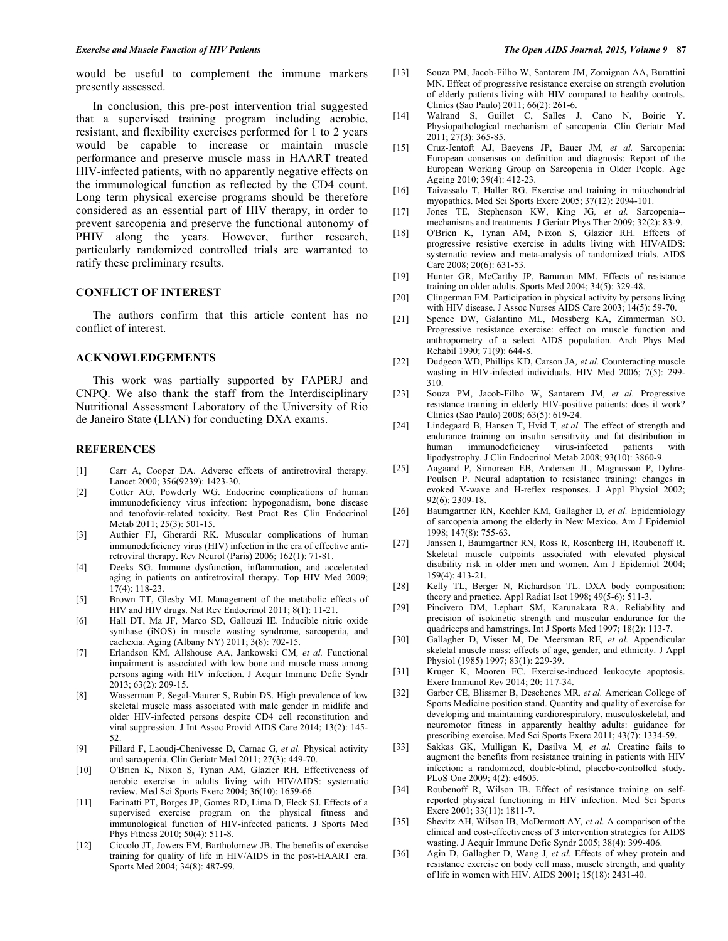would be useful to complement the immune markers presently assessed.

In conclusion, this pre-post intervention trial suggested that a supervised training program including aerobic, resistant, and flexibility exercises performed for 1 to 2 years would be capable to increase or maintain muscle performance and preserve muscle mass in HAART treated HIV-infected patients, with no apparently negative effects on the immunological function as reflected by the CD4 count. Long term physical exercise programs should be therefore considered as an essential part of HIV therapy, in order to prevent sarcopenia and preserve the functional autonomy of PHIV along the years. However, further research, particularly randomized controlled trials are warranted to ratify these preliminary results.

### **CONFLICT OF INTEREST**

The authors confirm that this article content has no conflict of interest.

### **ACKNOWLEDGEMENTS**

This work was partially supported by FAPERJ and CNPQ. We also thank the staff from the Interdisciplinary Nutritional Assessment Laboratory of the University of Rio de Janeiro State (LIAN) for conducting DXA exams.

### **REFERENCES**

- [1] Carr A, Cooper DA. Adverse effects of antiretroviral therapy. Lancet 2000; 356(9239): 1423-30.
- [2] Cotter AG, Powderly WG. Endocrine complications of human immunodeficiency virus infection: hypogonadism, bone disease and tenofovir-related toxicity. Best Pract Res Clin Endocrinol Metab 2011; 25(3): 501-15.
- [3] Authier FJ, Gherardi RK. Muscular complications of human immunodeficiency virus (HIV) infection in the era of effective antiretroviral therapy. Rev Neurol (Paris) 2006; 162(1): 71-81.
- [4] Deeks SG. Immune dysfunction, inflammation, and accelerated aging in patients on antiretroviral therapy. Top HIV Med 2009; 17(4): 118-23.
- [5] Brown TT, Glesby MJ. Management of the metabolic effects of HIV and HIV drugs. Nat Rev Endocrinol 2011; 8(1): 11-21.
- [6] Hall DT, Ma JF, Marco SD, Gallouzi IE. Inducible nitric oxide synthase (iNOS) in muscle wasting syndrome, sarcopenia, and cachexia. Aging (Albany NY) 2011; 3(8): 702-15.
- [7] Erlandson KM, Allshouse AA, Jankowski CM*, et al.* Functional impairment is associated with low bone and muscle mass among persons aging with HIV infection. J Acquir Immune Defic Syndr 2013; 63(2): 209-15.
- [8] Wasserman P, Segal-Maurer S, Rubin DS. High prevalence of low skeletal muscle mass associated with male gender in midlife and older HIV-infected persons despite CD4 cell reconstitution and viral suppression. J Int Assoc Provid AIDS Care 2014; 13(2): 145- 52.
- [9] Pillard F, Laoudj-Chenivesse D, Carnac G*, et al.* Physical activity and sarcopenia. Clin Geriatr Med 2011; 27(3): 449-70.
- [10] O'Brien K, Nixon S, Tynan AM, Glazier RH. Effectiveness of aerobic exercise in adults living with HIV/AIDS: systematic review. Med Sci Sports Exerc 2004; 36(10): 1659-66.
- [11] Farinatti PT, Borges JP, Gomes RD, Lima D, Fleck SJ. Effects of a supervised exercise program on the physical fitness and immunological function of HIV-infected patients. J Sports Med Phys Fitness 2010; 50(4): 511-8.
- [12] Ciccolo JT, Jowers EM, Bartholomew JB. The benefits of exercise training for quality of life in HIV/AIDS in the post-HAART era. Sports Med 2004; 34(8): 487-99.
- [13] Souza PM, Jacob-Filho W, Santarem JM, Zomignan AA, Burattini MN. Effect of progressive resistance exercise on strength evolution of elderly patients living with HIV compared to healthy controls. Clinics (Sao Paulo) 2011; 66(2): 261-6.
- [14] Walrand S, Guillet C, Salles J, Cano N, Boirie Y. Physiopathological mechanism of sarcopenia. Clin Geriatr Med 2011; 27(3): 365-85.
- [15] Cruz-Jentoft AJ, Baeyens JP, Bauer JM*, et al.* Sarcopenia: European consensus on definition and diagnosis: Report of the European Working Group on Sarcopenia in Older People. Age Ageing 2010; 39(4): 412-23.
- [16] Taivassalo T, Haller RG. Exercise and training in mitochondrial myopathies. Med Sci Sports Exerc 2005; 37(12): 2094-101.
- [17] Jones TE, Stephenson KW, King JG*, et al.* Sarcopenia- mechanisms and treatments. J Geriatr Phys Ther 2009; 32(2): 83-9.
- [18] O'Brien K, Tynan AM, Nixon S, Glazier RH. Effects of progressive resistive exercise in adults living with HIV/AIDS: systematic review and meta-analysis of randomized trials. AIDS Care 2008; 20(6): 631-53.
- [19] Hunter GR, McCarthy JP, Bamman MM. Effects of resistance training on older adults. Sports Med 2004; 34(5): 329-48.
- [20] Clingerman EM. Participation in physical activity by persons living with HIV disease. J Assoc Nurses AIDS Care 2003; 14(5): 59-70.
- [21] Spence DW, Galantino ML, Mossberg KA, Zimmerman SO. Progressive resistance exercise: effect on muscle function and anthropometry of a select AIDS population. Arch Phys Med Rehabil 1990; 71(9): 644-8.
- [22] Dudgeon WD, Phillips KD, Carson JA*, et al.* Counteracting muscle wasting in HIV-infected individuals. HIV Med 2006; 7(5): 299- 310.
- [23] Souza PM, Jacob-Filho W, Santarem JM*, et al.* Progressive resistance training in elderly HIV-positive patients: does it work? Clinics (Sao Paulo) 2008; 63(5): 619-24.
- [24] Lindegaard B, Hansen T, Hvid T*, et al.* The effect of strength and endurance training on insulin sensitivity and fat distribution in human immunodeficiency virus-infected patients with human immunodeficiency virus-infected patients with lipodystrophy. J Clin Endocrinol Metab 2008; 93(10): 3860-9.
- [25] Aagaard P, Simonsen EB, Andersen JL, Magnusson P, Dyhre-Poulsen P. Neural adaptation to resistance training: changes in evoked V-wave and H-reflex responses. J Appl Physiol 2002; 92(6): 2309-18.
- [26] Baumgartner RN, Koehler KM, Gallagher D*, et al.* Epidemiology of sarcopenia among the elderly in New Mexico. Am J Epidemiol 1998; 147(8): 755-63.
- [27] Janssen I, Baumgartner RN, Ross R, Rosenberg IH, Roubenoff R. Skeletal muscle cutpoints associated with elevated physical disability risk in older men and women. Am J Epidemiol 2004; 159(4): 413-21.
- [28] Kelly TL, Berger N, Richardson TL. DXA body composition: theory and practice. Appl Radiat Isot 1998; 49(5-6): 511-3.
- [29] Pincivero DM, Lephart SM, Karunakara RA. Reliability and precision of isokinetic strength and muscular endurance for the quadriceps and hamstrings. Int J Sports Med 1997; 18(2): 113-7.
- [30] Gallagher D, Visser M, De Meersman RE*, et al.* Appendicular skeletal muscle mass: effects of age, gender, and ethnicity. J Appl Physiol (1985) 1997; 83(1): 229-39.
- [31] Kruger K, Mooren FC. Exercise-induced leukocyte apoptosis. Exerc Immunol Rev 2014; 20: 117-34.
- [32] Garber CE, Blissmer B, Deschenes MR*, et al.* American College of Sports Medicine position stand. Quantity and quality of exercise for developing and maintaining cardiorespiratory, musculoskeletal, and neuromotor fitness in apparently healthy adults: guidance for prescribing exercise. Med Sci Sports Exerc 2011; 43(7): 1334-59.
- [33] Sakkas GK, Mulligan K, Dasilva M*, et al.* Creatine fails to augment the benefits from resistance training in patients with HIV infection: a randomized, double-blind, placebo-controlled study. PLoS One 2009; 4(2): e4605.
- [34] Roubenoff R, Wilson IB. Effect of resistance training on selfreported physical functioning in HIV infection. Med Sci Sports Exerc 2001; 33(11): 1811-7.
- [35] Shevitz AH, Wilson IB, McDermott AY*, et al.* A comparison of the clinical and cost-effectiveness of 3 intervention strategies for AIDS wasting. J Acquir Immune Defic Syndr 2005; 38(4): 399-406.
- [36] Agin D, Gallagher D, Wang J*, et al.* Effects of whey protein and resistance exercise on body cell mass, muscle strength, and quality of life in women with HIV. AIDS 2001; 15(18): 2431-40.